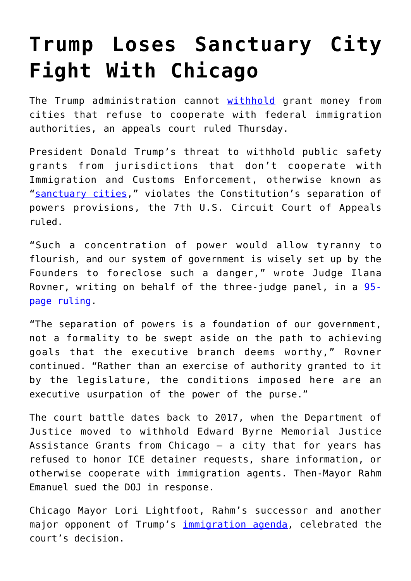## **[Trump Loses Sanctuary City](https://intellectualtakeout.org/2020/05/trump-loses-sanctuary-city-fight-with-chicago/) [Fight With Chicago](https://intellectualtakeout.org/2020/05/trump-loses-sanctuary-city-fight-with-chicago/)**

The Trump administration cannot [withhold](https://www.dailysignal.com/2020/04/29/trump-suggests-he-may-withhold-bailout-funds-from-states-with-sanctuary-cities/) grant money from cities that refuse to cooperate with federal immigration authorities, an appeals court ruled Thursday.

President Donald Trump's threat to withhold public safety grants from jurisdictions that don't cooperate with Immigration and Customs Enforcement, otherwise known as "[sanctuary cities](https://www.dailysignal.com/2020/02/20/trumps-war-on-sanctuary-cities-is-about-more-than-politics/)," violates the Constitution's separation of powers provisions, the 7th U.S. Circuit Court of Appeals ruled.

"Such a concentration of power would allow tyranny to flourish, and our system of government is wisely set up by the Founders to foreclose such a danger," wrote Judge Ilana Rovner, writing on behalf of the three-judge panel, in a [95](http://media.ca7.uscourts.gov/cgi-bin/rssExec.pl?Submit=Display&Path=Y2020/D04-30/C:18-2885:J:Rovner:aut:T:fnOp:N:2508993:S:0) [page ruling.](http://media.ca7.uscourts.gov/cgi-bin/rssExec.pl?Submit=Display&Path=Y2020/D04-30/C:18-2885:J:Rovner:aut:T:fnOp:N:2508993:S:0)

"The separation of powers is a foundation of our government, not a formality to be swept aside on the path to achieving goals that the executive branch deems worthy," Rovner continued. "Rather than an exercise of authority granted to it by the legislature, the conditions imposed here are an executive usurpation of the power of the purse."

The court battle dates back to 2017, when the Department of Justice moved to withhold Edward Byrne Memorial Justice Assistance Grants from Chicago – a city that for years has refused to honor ICE detainer requests, share information, or otherwise cooperate with immigration agents. Then-Mayor Rahm Emanuel sued the DOJ in response.

Chicago Mayor Lori Lightfoot, Rahm's successor and another major opponent of Trump's [immigration agenda,](https://www.dailysignal.com/2020/02/14/trump-begins-counterattack-on-sanctuary-cities/) celebrated the court's decision.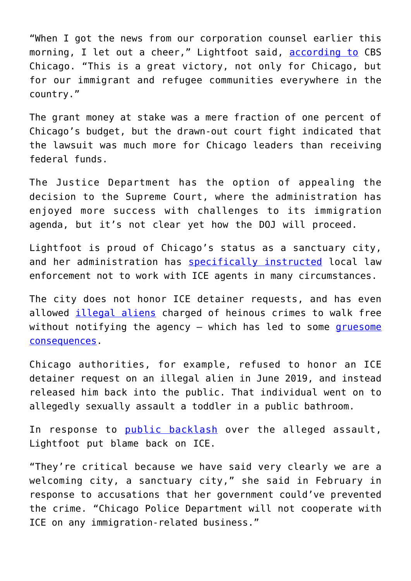"When I got the news from our corporation counsel earlier this morning, I let out a cheer," Lightfoot said, [according to](https://chicago.cbslocal.com/2020/05/01/federal-appeals-court-nixes-trump-policy-denying-grant-money-to-sanctuary-cities/) CBS Chicago. "This is a great victory, not only for Chicago, but for our immigrant and refugee communities everywhere in the country."

The grant money at stake was a mere fraction of one percent of Chicago's budget, but the drawn-out court fight indicated that the lawsuit was much more for Chicago leaders than receiving federal funds.

The Justice Department has the option of appealing the decision to the Supreme Court, where the administration has enjoyed more success with challenges to its immigration agenda, but it's not clear yet how the DOJ will proceed.

Lightfoot is proud of Chicago's status as a sanctuary city, and her administration has [specifically instructed](https://dailycaller.com/2019/10/01/chicago-memo-police-dhs-immigration-arrests/) local law enforcement not to work with ICE agents in many circumstances.

The city does not honor ICE detainer requests, and has even allowed [illegal aliens](https://www.dailysignal.com/2020/04/08/chicago-mayor-signs-executive-order-giving-coronavirus-benefits-to-illegal-aliens/) charged of heinous crimes to walk free without notifying the agency  $-$  which has led to some [gruesome](https://www.dailysignal.com/2020/03/02/illegal-alien-released-in-chicago-charged-with-sexually-abusing-3-year-old/) [consequences](https://www.dailysignal.com/2020/03/02/illegal-alien-released-in-chicago-charged-with-sexually-abusing-3-year-old/).

Chicago authorities, for example, refused to honor an ICE detainer request on an illegal alien in June 2019, and instead released him back into the public. That individual went on to allegedly sexually assault a toddler in a public bathroom.

In response to [public backlash](https://dailycaller.com/2020/03/13/ice-chief-chicago-mayor-sanctuary-city-sexual-assault-minor/) over the alleged assault, Lightfoot put blame back on ICE.

"They're critical because we have said very clearly we are a welcoming city, a sanctuary city," she said in February in response to accusations that her government could've prevented the crime. "Chicago Police Department will not cooperate with ICE on any immigration-related business."